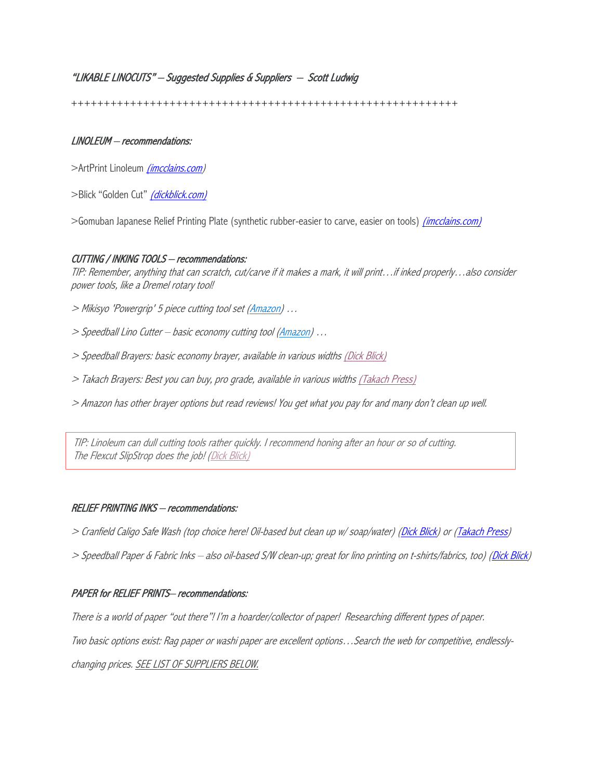# "LIKABLE LINOCUTS" – Suggested Supplies & Suppliers – Scott Ludwig

+++++++++++++++++++++++++++++++++++++++++++++++++++++++++++

### LINOLEUM – recommendations:

>ArtPrint Linoleum (incolains.com)

>Blick "Golden Cut" (dickblick.com)

>Gomuban Japanese Relief Printing Plate (synthetic rubber-easier to carve, easier on tools) *(imcclains.com)* 

#### CUTTING / INKING TOOLS – recommendations:

TIP: Remember, anything that can scratch, cut/carve if it makes a mark, it will print…if inked properly…also consider power tools, like a Dremel rotary tool!

- > Mikisyo 'Powergrip' 5 piece cutting tool set (Amazon) …
- > Speedball Lino Cutter basic economy cutting tool (Amazon) ...
- > Speedball Brayers: basic economy brayer, available in various widths (Dick Blick)
- > Takach Brayers: Best you can buy, pro grade, available in various widths (Takach Press)
- > Amazon has other brayer options but read reviews! You get what you pay for and many don't clean up well.

TIP: Linoleum can dull cutting tools rather quickly. I recommend honing after an hour or so of cutting. The Flexcut SlipStrop does the job! (Dick Blick)

#### RELIEF PRINTING INKS – recommendations:

- > Cranfield Caligo Safe Wash (top choice here! Oil-based but clean up w/soap/water) (Dick Blick) or (Takach Press)
- > Speedball Paper & Fabric Inks also oil-based S/W clean-up; great for lino printing on t-shirts/fabrics, too) (Dick Blick)

### PAPER for RELIEF PRINTS– recommendations:

There is a world of paper "out there"! I'm a hoarder/collector of paper! Researching different types of paper.

Two basic options exist: Rag paper or washi paper are excellent options…Search the web for competitive, endlessly-

changing prices. SEE LIST OF SUPPLIERS BELOW.